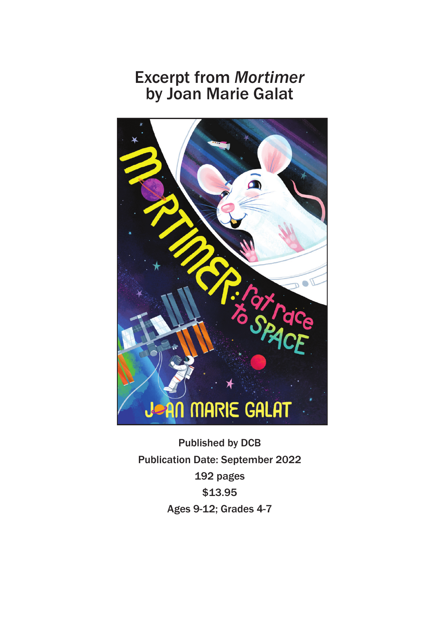## Excerpt from *Mortimer* by Joan Marie Galat



Published by DCB Publication Date: September 2022 192 pages \$13.95 Ages 9-12; Grades 4-7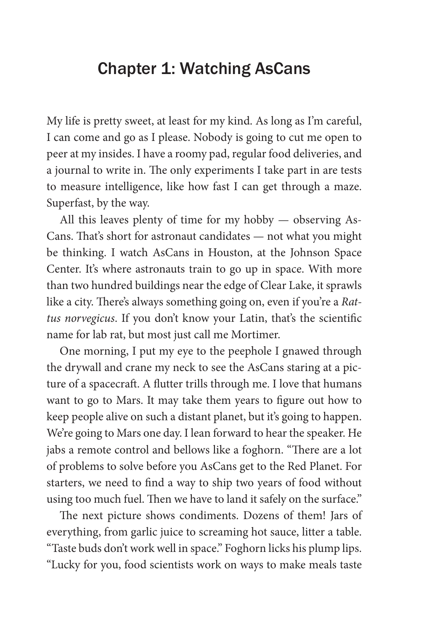## Chapter 1: Watching AsCans

My life is pretty sweet, at least for my kind. As long as I'm careful, I can come and go as I please. Nobody is going to cut me open to peer at my insides. I have a roomy pad, regular food deliveries, and a journal to write in. The only experiments I take part in are tests to measure intelligence, like how fast I can get through a maze. Superfast, by the way.

All this leaves plenty of time for my hobby — observing As-Cans. That's short for astronaut candidates — not what you might be thinking. I watch AsCans in Houston, at the Johnson Space Center. It's where astronauts train to go up in space. With more than two hundred buildings near the edge of Clear Lake, it sprawls like a city. There's always something going on, even if you're a *Rattus norvegicus*. If you don't know your Latin, that's the scientific name for lab rat, but most just call me Mortimer.

One morning, I put my eye to the peephole I gnawed through the drywall and crane my neck to see the AsCans staring at a picture of a spacecraft. A flutter trills through me. I love that humans want to go to Mars. It may take them years to figure out how to keep people alive on such a distant planet, but it's going to happen. We're going to Mars one day. I lean forward to hear the speaker. He jabs a remote control and bellows like a foghorn. "There are a lot of problems to solve before you AsCans get to the Red Planet. For starters, we need to find a way to ship two years of food without using too much fuel. Then we have to land it safely on the surface."

The next picture shows condiments. Dozens of them! Jars of everything, from garlic juice to screaming hot sauce, litter a table. "Taste buds don't work well in space." Foghorn licks his plump lips. "Lucky for you, food scientists work on ways to make meals taste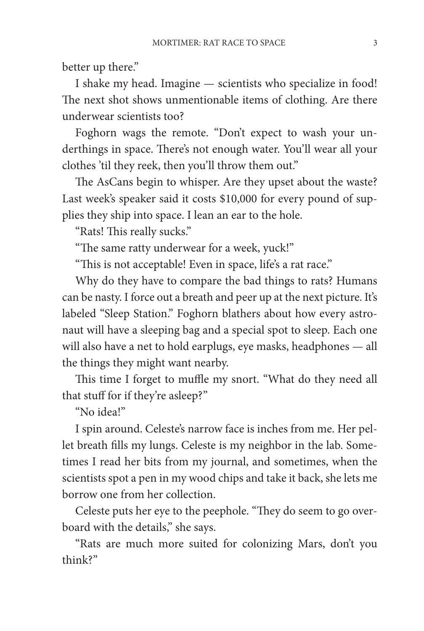better up there."

I shake my head. Imagine — scientists who specialize in food! The next shot shows unmentionable items of clothing. Are there underwear scientists too?

Foghorn wags the remote. "Don't expect to wash your underthings in space. There's not enough water. You'll wear all your clothes 'til they reek, then you'll throw them out."

The AsCans begin to whisper. Are they upset about the waste? Last week's speaker said it costs \$10,000 for every pound of supplies they ship into space. I lean an ear to the hole.

"Rats! This really sucks."

"The same ratty underwear for a week, yuck!"

"This is not acceptable! Even in space, life's a rat race."

Why do they have to compare the bad things to rats? Humans can be nasty. I force out a breath and peer up at the next picture. It's labeled "Sleep Station." Foghorn blathers about how every astronaut will have a sleeping bag and a special spot to sleep. Each one will also have a net to hold earplugs, eye masks, headphones — all the things they might want nearby.

This time I forget to muffle my snort. "What do they need all that stuff for if they're asleep?"

"No idea!"

I spin around. Celeste's narrow face is inches from me. Her pellet breath fills my lungs. Celeste is my neighbor in the lab. Sometimes I read her bits from my journal, and sometimes, when the scientists spot a pen in my wood chips and take it back, she lets me borrow one from her collection.

Celeste puts her eye to the peephole. "They do seem to go overboard with the details," she says.

"Rats are much more suited for colonizing Mars, don't you think?"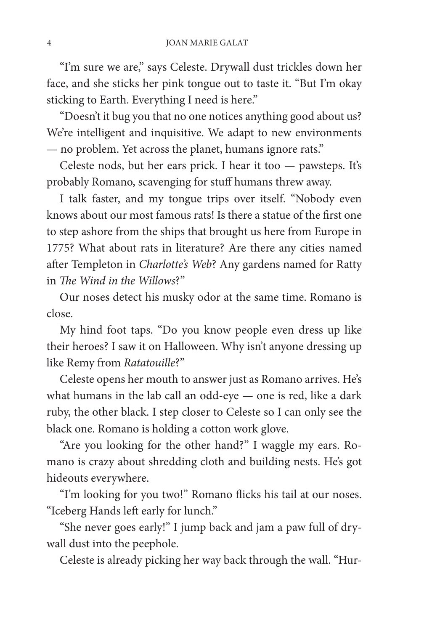"I'm sure we are," says Celeste. Drywall dust trickles down her face, and she sticks her pink tongue out to taste it. "But I'm okay sticking to Earth. Everything I need is here."

"Doesn't it bug you that no one notices anything good about us? We're intelligent and inquisitive. We adapt to new environments — no problem. Yet across the planet, humans ignore rats."

Celeste nods, but her ears prick. I hear it too — pawsteps. It's probably Romano, scavenging for stuff humans threw away.

I talk faster, and my tongue trips over itself. "Nobody even knows about our most famous rats! Is there a statue of the first one to step ashore from the ships that brought us here from Europe in 1775? What about rats in literature? Are there any cities named after Templeton in *Charlotte's Web*? Any gardens named for Ratty in *The Wind in the Willows*?"

Our noses detect his musky odor at the same time. Romano is close.

My hind foot taps. "Do you know people even dress up like their heroes? I saw it on Halloween. Why isn't anyone dressing up like Remy from *Ratatouille*?"

Celeste opens her mouth to answer just as Romano arrives. He's what humans in the lab call an odd-eye — one is red, like a dark ruby, the other black. I step closer to Celeste so I can only see the black one. Romano is holding a cotton work glove.

"Are you looking for the other hand?" I waggle my ears. Romano is crazy about shredding cloth and building nests. He's got hideouts everywhere.

"I'm looking for you two!" Romano flicks his tail at our noses. "Iceberg Hands left early for lunch."

"She never goes early!" I jump back and jam a paw full of drywall dust into the peephole.

Celeste is already picking her way back through the wall. "Hur-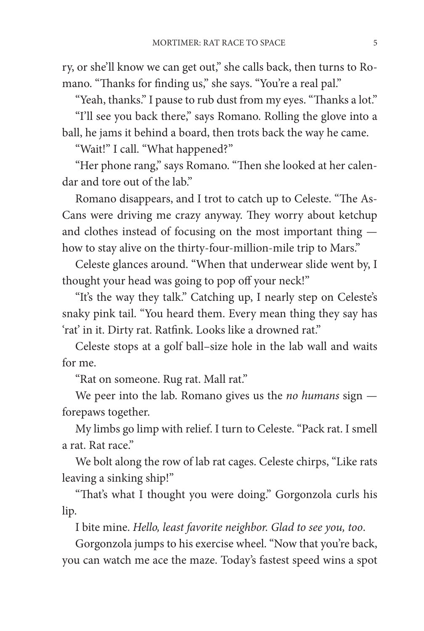ry, or she'll know we can get out," she calls back, then turns to Romano. "Thanks for finding us," she says. "You're a real pal."

"Yeah, thanks." I pause to rub dust from my eyes. "Thanks a lot."

"I'll see you back there," says Romano. Rolling the glove into a ball, he jams it behind a board, then trots back the way he came.

"Wait!" I call. "What happened?"

"Her phone rang," says Romano. "Then she looked at her calendar and tore out of the lab."

Romano disappears, and I trot to catch up to Celeste. "The As-Cans were driving me crazy anyway. They worry about ketchup and clothes instead of focusing on the most important thing how to stay alive on the thirty-four-million-mile trip to Mars."

Celeste glances around. "When that underwear slide went by, I thought your head was going to pop off your neck!"

"It's the way they talk." Catching up, I nearly step on Celeste's snaky pink tail. "You heard them. Every mean thing they say has 'rat' in it. Dirty rat. Ratfink. Looks like a drowned rat."

Celeste stops at a golf ball–size hole in the lab wall and waits for me.

"Rat on someone. Rug rat. Mall rat."

We peer into the lab. Romano gives us the *no humans* sign forepaws together.

My limbs go limp with relief. I turn to Celeste. "Pack rat. I smell a rat. Rat race."

We bolt along the row of lab rat cages. Celeste chirps, "Like rats leaving a sinking ship!"

"That's what I thought you were doing." Gorgonzola curls his lip.

I bite mine. *Hello, least favorite neighbor. Glad to see you, too*.

Gorgonzola jumps to his exercise wheel. "Now that you're back, you can watch me ace the maze. Today's fastest speed wins a spot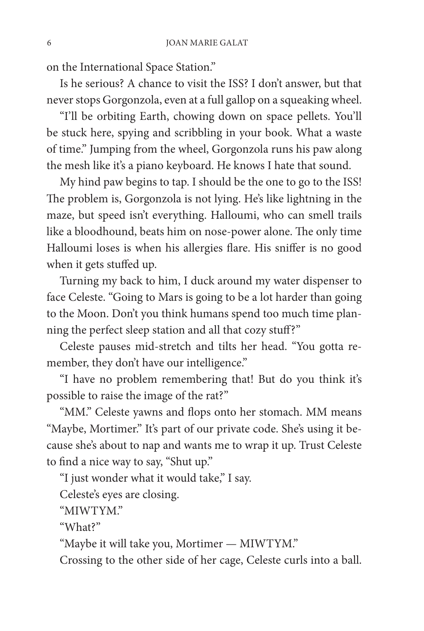on the International Space Station."

Is he serious? A chance to visit the ISS? I don't answer, but that never stops Gorgonzola, even at a full gallop on a squeaking wheel.

"I'll be orbiting Earth, chowing down on space pellets. You'll be stuck here, spying and scribbling in your book. What a waste of time." Jumping from the wheel, Gorgonzola runs his paw along the mesh like it's a piano keyboard. He knows I hate that sound.

My hind paw begins to tap. I should be the one to go to the ISS! The problem is, Gorgonzola is not lying. He's like lightning in the maze, but speed isn't everything. Halloumi, who can smell trails like a bloodhound, beats him on nose-power alone. The only time Halloumi loses is when his allergies flare. His sniffer is no good when it gets stuffed up.

Turning my back to him, I duck around my water dispenser to face Celeste. "Going to Mars is going to be a lot harder than going to the Moon. Don't you think humans spend too much time planning the perfect sleep station and all that cozy stuff?"

Celeste pauses mid-stretch and tilts her head. "You gotta remember, they don't have our intelligence."

"I have no problem remembering that! But do you think it's possible to raise the image of the rat?"

"MM." Celeste yawns and flops onto her stomach. MM means "Maybe, Mortimer." It's part of our private code. She's using it because she's about to nap and wants me to wrap it up. Trust Celeste to find a nice way to say, "Shut up."

"I just wonder what it would take," I say.

Celeste's eyes are closing.

"MIWTYM."

"What?"

"Maybe it will take you, Mortimer — MIWTYM."

Crossing to the other side of her cage, Celeste curls into a ball.